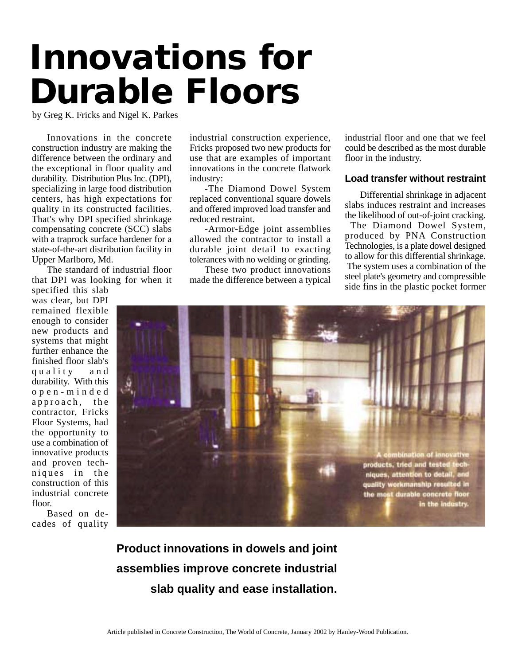# **Innovations for Durable Floors**

by Greg K. Fricks and Nigel K. Parkes

Innovations in the concrete construction industry are making the difference between the ordinary and the exceptional in floor quality and durability. Distribution Plus Inc. (DPI), specializing in large food distribution centers, has high expectations for quality in its constructed facilities. That's why DPI specified shrinkage compensating concrete (SCC) slabs with a traprock surface hardener for a state-of-the-art distribution facility in Upper Marlboro, Md.

The standard of industrial floor that DPI was looking for when it

specified this slab was clear, but DPI remained flexible enough to consider new products and systems that might further enhance the finished floor slab's quality and durability. With this open-minded approach, the contractor, Fricks Floor Systems, had the opportunity to use a combination of innovative products and proven techniques in the construction of this industrial concrete floor.

Based on decades of quality industrial construction experience, Fricks proposed two new products for use that are examples of important innovations in the concrete flatwork industry:

-The Diamond Dowel System replaced conventional square dowels and offered improved load transfer and reduced restraint.

-Armor-Edge joint assemblies allowed the contractor to install a durable joint detail to exacting tolerances with no welding or grinding.

These two product innovations made the difference between a typical

industrial floor and one that we feel could be described as the most durable floor in the industry.

## **Load transfer without restraint**

Differential shrinkage in adjacent slabs induces restraint and increases the likelihood of out-of-joint cracking.

 The Diamond Dowel System, produced by PNA Construction Technologies, is a plate dowel designed to allow for this differential shrinkage. The system uses a combination of the steel plate's geometry and compressible side fins in the plastic pocket former



**Product innovations in dowels and joint assemblies improve concrete industrial slab quality and ease installation.**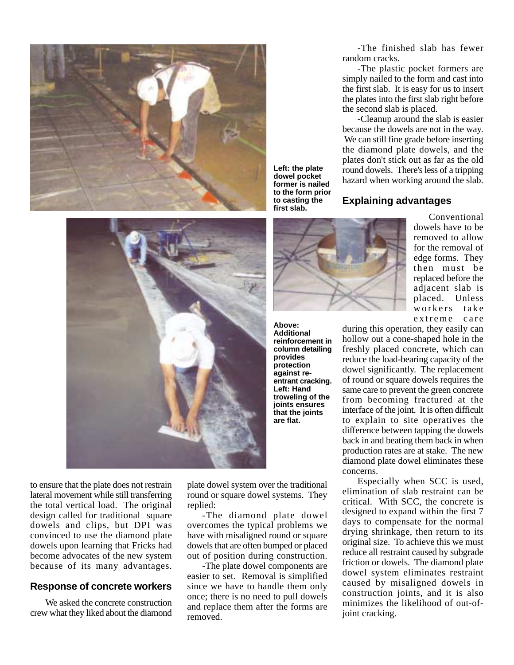

-The finished slab has fewer random cracks.

-The plastic pocket formers are simply nailed to the form and cast into the first slab. It is easy for us to insert the plates into the first slab right before the second slab is placed.

-Cleanup around the slab is easier because the dowels are not in the way. We can still fine grade before inserting the diamond plate dowels, and the plates don't stick out as far as the old round dowels. There's less of a tripping hazard when working around the slab.

## **Explaining advantages**



to ensure that the plate does not restrain lateral movement while still transferring the total vertical load. The original design called for traditional square dowels and clips, but DPI was convinced to use the diamond plate dowels upon learning that Fricks had become advocates of the new system because of its many advantages.

## **Response of concrete workers**

We asked the concrete construction crew what they liked about the diamond

plate dowel system over the traditional round or square dowel systems. They replied:

-The diamond plate dowel overcomes the typical problems we have with misaligned round or square dowels that are often bumped or placed out of position during construction.

-The plate dowel components are easier to set. Removal is simplified since we have to handle them only once; there is no need to pull dowels and replace them after the forms are removed.



**Above: Additional reinforcement in column detailing provides protection against reentrant cracking. Left: Hand troweling of the joints ensures that the joints are flat.**

**Left: the plate dowel pocket former is nailed to the form prior to casting the first slab.**

Conventional dowels have to be removed to allow for the removal of edge forms. They then must be replaced before the adjacent slab is placed. Unless workers take extreme care

during this operation, they easily can hollow out a cone-shaped hole in the freshly placed concrete, which can reduce the load-bearing capacity of the dowel significantly. The replacement of round or square dowels requires the same care to prevent the green concrete from becoming fractured at the interface of the joint. It is often difficult to explain to site operatives the difference between tapping the dowels back in and beating them back in when production rates are at stake. The new diamond plate dowel eliminates these concerns.

Especially when SCC is used, elimination of slab restraint can be critical. With SCC, the concrete is designed to expand within the first 7 days to compensate for the normal drying shrinkage, then return to its original size. To achieve this we must reduce all restraint caused by subgrade friction or dowels. The diamond plate dowel system eliminates restraint caused by misaligned dowels in construction joints, and it is also minimizes the likelihood of out-ofjoint cracking.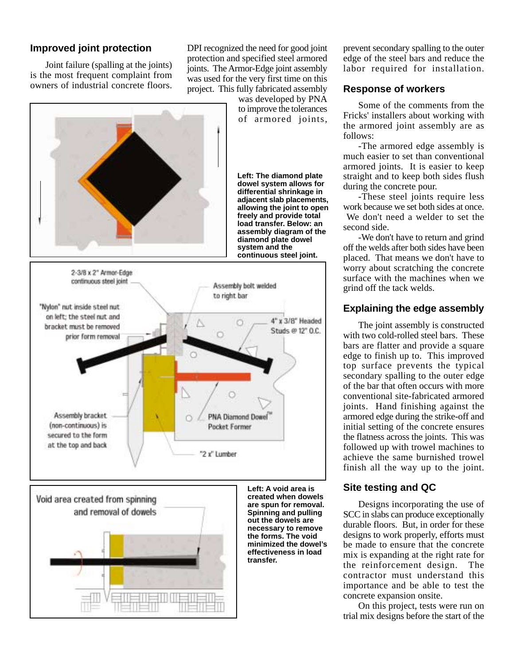## **Improved joint protection**

Joint failure (spalling at the joints) is the most frequent complaint from owners of industrial concrete floors.

DPI recognized the need for good joint protection and specified steel armored joints. The Armor-Edge joint assembly was used for the very first time on this project. This fully fabricated assembly

was developed by PNA to improve the tolerances of armored joints, **Left: The diamond plate dowel system allows for differential shrinkage in adjacent slab placements, allowing the joint to open freely and provide total load transfer. Below: an assembly diagram of the diamond plate dowel system and the continuous steel joint.** 2-3/8 x 2" Armor-Edge continuous steel joint Assembly bolt welded to right bar "Nylon" nut inside steel nut on left; the steel nut and 4" x 3/8" Headed Ö bracket must be removed Studs @ 12" O.C. O prior form removal Assembly bracket. **PNA Diamond Dowel** (non-continuous) is Pocket Former secured to the form at the top and back "2 x" Lumber



**Left: A void area is created when dowels are spun for removal. Spinning and pulling out the dowels are necessary to remove the forms. The void minimized the dowel's effectiveness in load transfer.**

prevent secondary spalling to the outer edge of the steel bars and reduce the labor required for installation.

## **Response of workers**

Some of the comments from the Fricks' installers about working with the armored joint assembly are as follows:

-The armored edge assembly is much easier to set than conventional armored joints. It is easier to keep straight and to keep both sides flush during the concrete pour.

-These steel joints require less work because we set both sides at once. We don't need a welder to set the second side.

-We don't have to return and grind off the welds after both sides have been placed. That means we don't have to worry about scratching the concrete surface with the machines when we grind off the tack welds.

## **Explaining the edge assembly**

The joint assembly is constructed with two cold-rolled steel bars. These bars are flatter and provide a square edge to finish up to. This improved top surface prevents the typical secondary spalling to the outer edge of the bar that often occurs with more conventional site-fabricated armored joints. Hand finishing against the armored edge during the strike-off and initial setting of the concrete ensures the flatness across the joints. This was followed up with trowel machines to achieve the same burnished trowel finish all the way up to the joint.

## **Site testing and QC**

Designs incorporating the use of SCC in slabs can produce exceptionally durable floors. But, in order for these designs to work properly, efforts must be made to ensure that the concrete mix is expanding at the right rate for the reinforcement design. The contractor must understand this importance and be able to test the concrete expansion onsite.

On this project, tests were run on trial mix designs before the start of the